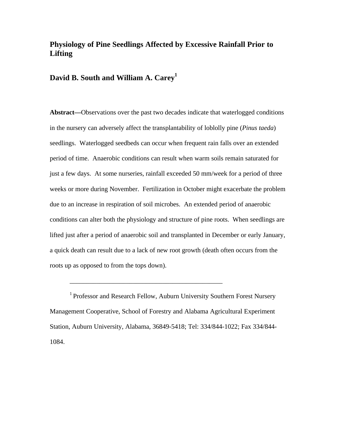## **Physiology of Pine Seedlings Affected by Excessive Rainfall Prior to Lifting**

## **David B. South and William A. Carey<sup>1</sup>**

**Abstract—**Observations over the past two decades indicate that waterlogged conditions in the nursery can adversely affect the transplantability of loblolly pine (*Pinus taeda*) seedlings. Waterlogged seedbeds can occur when frequent rain falls over an extended period of time. Anaerobic conditions can result when warm soils remain saturated for just a few days. At some nurseries, rainfall exceeded 50 mm/week for a period of three weeks or more during November. Fertilization in October might exacerbate the problem due to an increase in respiration of soil microbes. An extended period of anaerobic conditions can alter both the physiology and structure of pine roots. When seedlings are lifted just after a period of anaerobic soil and transplanted in December or early January, a quick death can result due to a lack of new root growth (death often occurs from the roots up as opposed to from the tops down).

<sup>1</sup> Professor and Research Fellow, Auburn University Southern Forest Nursery Management Cooperative, School of Forestry and Alabama Agricultural Experiment Station, Auburn University, Alabama, 36849-5418; Tel: 334/844-1022; Fax 334/844- 1084.

\_\_\_\_\_\_\_\_\_\_\_\_\_\_\_\_\_\_\_\_\_\_\_\_\_\_\_\_\_\_\_\_\_\_\_\_\_\_\_\_\_\_\_\_\_\_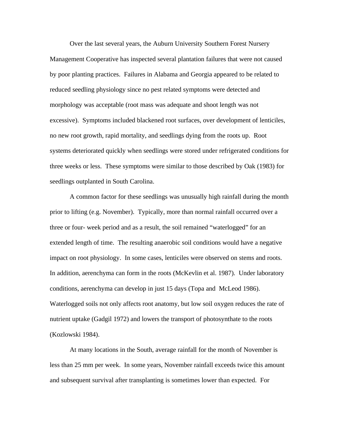Over the last several years, the Auburn University Southern Forest Nursery Management Cooperative has inspected several plantation failures that were not caused by poor planting practices. Failures in Alabama and Georgia appeared to be related to reduced seedling physiology since no pest related symptoms were detected and morphology was acceptable (root mass was adequate and shoot length was not excessive). Symptoms included blackened root surfaces, over development of lenticiles, no new root growth, rapid mortality, and seedlings dying from the roots up. Root systems deteriorated quickly when seedlings were stored under refrigerated conditions for three weeks or less. These symptoms were similar to those described by Oak (1983) for seedlings outplanted in South Carolina.

A common factor for these seedlings was unusually high rainfall during the month prior to lifting (e.g. November). Typically, more than normal rainfall occurred over a three or four- week period and as a result, the soil remained "waterlogged" for an extended length of time. The resulting anaerobic soil conditions would have a negative impact on root physiology. In some cases, lenticiles were observed on stems and roots. In addition, aerenchyma can form in the roots (McKevlin et al. 1987). Under laboratory conditions, aerenchyma can develop in just 15 days (Topa and McLeod 1986). Waterlogged soils not only affects root anatomy, but low soil oxygen reduces the rate of nutrient uptake (Gadgil 1972) and lowers the transport of photosynthate to the roots (Kozlowski 1984).

At many locations in the South, average rainfall for the month of November is less than 25 mm per week. In some years, November rainfall exceeds twice this amount and subsequent survival after transplanting is sometimes lower than expected. For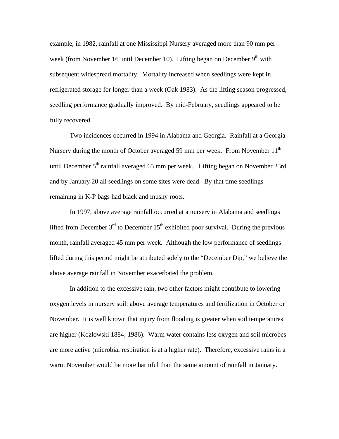example, in 1982, rainfall at one Mississippi Nursery averaged more than 90 mm per week (from November 16 until December 10). Lifting began on December  $9<sup>th</sup>$  with subsequent widespread mortality. Mortality increased when seedlings were kept in refrigerated storage for longer than a week (Oak 1983). As the lifting season progressed, seedling performance gradually improved. By mid-February, seedlings appeared to be fully recovered.

Two incidences occurred in 1994 in Alabama and Georgia. Rainfall at a Georgia Nursery during the month of October averaged 59 mm per week. From November  $11<sup>th</sup>$ until December  $5<sup>th</sup>$  rainfall averaged 65 mm per week. Lifting began on November 23rd and by January 20 all seedlings on some sites were dead. By that time seedlings remaining in K-P bags had black and mushy roots.

In 1997, above average rainfall occurred at a nursery in Alabama and seedlings lifted from December  $3<sup>rd</sup>$  to December  $15<sup>th</sup>$  exhibited poor survival. During the previous month, rainfall averaged 45 mm per week. Although the low performance of seedlings lifted during this period might be attributed solely to the "December Dip," we believe the above average rainfall in November exacerbated the problem.

In addition to the excessive rain, two other factors might contribute to lowering oxygen levels in nursery soil: above average temperatures and fertilization in October or November. It is well known that injury from flooding is greater when soil temperatures are higher (Kozlowski 1884; 1986). Warm water contains less oxygen and soil microbes are more active (microbial respiration is at a higher rate). Therefore, excessive rains in a warm November would be more harmful than the same amount of rainfall in January.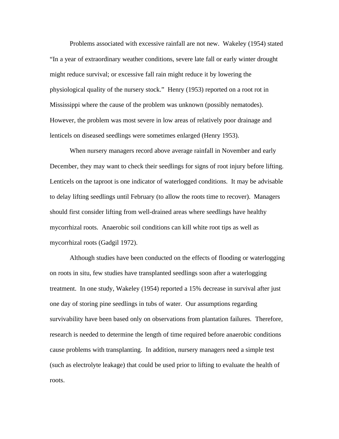Problems associated with excessive rainfall are not new. Wakeley (1954) stated "In a year of extraordinary weather conditions, severe late fall or early winter drought might reduce survival; or excessive fall rain might reduce it by lowering the physiological quality of the nursery stock." Henry (1953) reported on a root rot in Mississippi where the cause of the problem was unknown (possibly nematodes). However, the problem was most severe in low areas of relatively poor drainage and lenticels on diseased seedlings were sometimes enlarged (Henry 1953).

When nursery managers record above average rainfall in November and early December, they may want to check their seedlings for signs of root injury before lifting. Lenticels on the taproot is one indicator of waterlogged conditions. It may be advisable to delay lifting seedlings until February (to allow the roots time to recover). Managers should first consider lifting from well-drained areas where seedlings have healthy mycorrhizal roots. Anaerobic soil conditions can kill white root tips as well as mycorrhizal roots (Gadgil 1972).

Although studies have been conducted on the effects of flooding or waterlogging on roots in situ, few studies have transplanted seedlings soon after a waterlogging treatment. In one study, Wakeley (1954) reported a 15% decrease in survival after just one day of storing pine seedlings in tubs of water. Our assumptions regarding survivability have been based only on observations from plantation failures. Therefore, research is needed to determine the length of time required before anaerobic conditions cause problems with transplanting. In addition, nursery managers need a simple test (such as electrolyte leakage) that could be used prior to lifting to evaluate the health of roots.